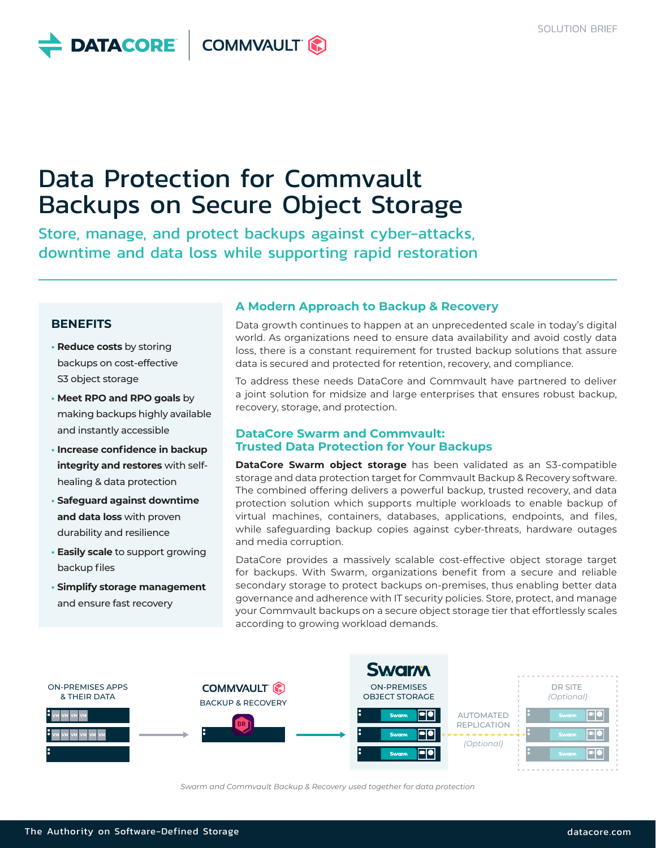

# Data Protection for Commvault Backups on Secure Object Storage

Store, manage, and protect backups against cyber-attacks, downtime and data loss while supporting rapid restoration

## **BENEFITS**

- **• Reduce costs** by storing backups on cost-effective S3 object storage
- **• Meet RPO and RPO goals** by making backups highly available and instantly accessible
- **• Increase confidence in backup integrity and restores** with selfhealing & data protection
- **• Safeguard against downtime and data loss** with proven durability and resilience
- **• Easily scale** to support growing backup files
- **• Simplify storage management** and ensure fast recovery

## **A Modern Approach to Backup & Recovery**

Data growth continues to happen at an unprecedented scale in today's digital world. As organizations need to ensure data availability and avoid costly data loss, there is a constant requirement for trusted backup solutions that assure data is secured and protected for retention, recovery, and compliance.

To address these needs DataCore and Commvault have partnered to deliver a joint solution for midsize and large enterprises that ensures robust backup, recovery, storage, and protection.

#### **DataCore Swarm and Commvault: Trusted Data Protection for Your Backups**

**DataCore Swarm object storage** has been validated as an S3-compatible storage and data protection target for Commvault Backup & Recovery software. The combined offering delivers a powerful backup, trusted recovery, and data protection solution which supports multiple workloads to enable backup of virtual machines, containers, databases, applications, endpoints, and files, while safeguarding backup copies against cyber-threats, hardware outages and media corruption.

DataCore provides a massively scalable cost-effective object storage target for backups. With Swarm, organizations benefit from a secure and reliable secondary storage to protect backups on-premises, thus enabling better data governance and adherence with IT security policies. Store, protect, and manage your Commvault backups on a secure object storage tier that effortlessly scales according to growing workload demands.



*Swarm and Commvault Backup & Recovery used together for data protection*